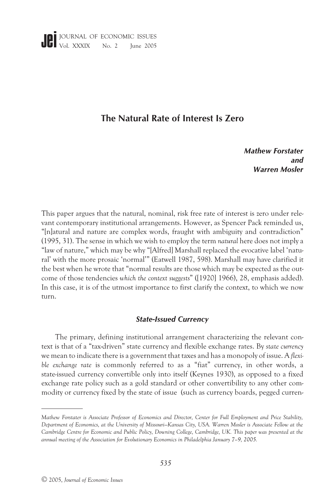# **The Natural Rate of Interest Is Zero**

*Mathew Forstater and Warren Mosler*

This paper argues that the natural, nominal, risk free rate of interest is zero under relevant contemporary institutional arrangements. However, as Spencer Pack reminded us, "[n]atural and nature are complex words, fraught with ambiguity and contradiction" (1995, 31). The sense in which we wish to employ the term *natural* here does not imply a "law of nature," which may be why "[Alfred] Marshall replaced the evocative label 'natural' with the more prosaic 'normal'" (Eatwell 1987, 598). Marshall may have clarified it the best when he wrote that "normal results are those which may be expected as the outcome of those tendencies *which the context suggests*" ([1920] 1966), 28, emphasis added). In this case, it is of the utmost importance to first clarify the context, to which we now turn.

# *State-Issued Currency*

The primary, defining institutional arrangement characterizing the relevant context is that of a "tax-driven" state currency and flexible exchange rates. By *state currency* we mean to indicate there is a government that taxes and has a monopoly of issue. A *flexible exchange rate* is commonly referred to as a "fiat" currency, in other words, a state-issued currency convertible only into itself (Keynes 1930), as opposed to a fixed exchange rate policy such as a gold standard or other convertibility to any other commodity or currency fixed by the state of issue (such as currency boards, pegged curren-

*Mathew Forstater is Associate Professor of Economics and Director, Center for Full Employment and Price Stability, Department of Economics, at the University of Missouri—Kansas City, USA. Warren Mosler is Associate Fellow at the Cambridge Centre for Economic and Public Policy, Downing College, Cambridge, UK. This paper was presented at the annual meeting of the Association for Evolutionary Economics in Philadelphia January 7–9, 2005.*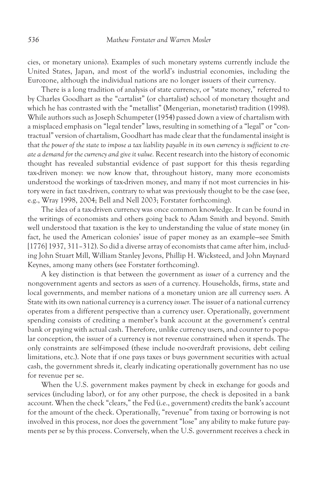cies, or monetary unions). Examples of such monetary systems currently include the United States, Japan, and most of the world's industrial economies, including the Eurozone, although the individual nations are no longer issuers of their currency.

There is a long tradition of analysis of state currency, or "state money," referred to by Charles Goodhart as the "cartalist" (or chartalist) school of monetary thought and which he has contrasted with the "metallist" (Mengerian, monetarist) tradition (1998). While authors such as Joseph Schumpeter (1954) passed down a view of chartalism with a misplaced emphasis on "legal tender" laws, resulting in something of a "legal" or "contractual" version of chartalism, Goodhart has made clear that the fundamental insight is that *the power of the state to impose a tax liability payable in its own currency is sufficient to create a demand for the currency and give it value.* Recent research into the history of economic thought has revealed substantial evidence of past support for this thesis regarding tax-driven money: we now know that, throughout history, many more economists understood the workings of tax-driven money, and many if not most currencies in history were in fact tax-driven, contrary to what was previously thought to be the case (see, e.g., Wray 1998, 2004; Bell and Nell 2003; Forstater forthcoming).

The idea of a tax-driven currency was once common knowledge. It can be found in the writings of economists and others going back to Adam Smith and beyond. Smith well understood that taxation is the key to understanding the value of state money (in fact, he used the American colonies' issue of paper money as an example—see Smith [1776] 1937, 311–312). So did a diverse array of economists that came after him, including John Stuart Mill, William Stanley Jevons, Phillip H. Wicksteed, and John Maynard Keynes, among many others (see Forstater forthcoming).

A key distinction is that between the government as *issuer* of a currency and the nongovernment agents and sectors as *users* of a currency. Households, firms, state and local governments, and member nations of a monetary union are all currency *users.* A State with its own national currency is a currency*issuer.* The issuer of a national currency operates from a different perspective than a currency user. Operationally, government spending consists of crediting a member's bank account at the government's central bank or paying with actual cash. Therefore, unlike currency users, and counter to popular conception, the issuer of a currency is not revenue constrained when it spends. The only constraints are self-imposed (these include no-overdraft provisions, debt ceiling limitations, etc.). Note that if one pays taxes or buys government securities with actual cash, the government shreds it, clearly indicating operationally government has no use for revenue per se.

When the U.S. government makes payment by check in exchange for goods and services (including labor), or for any other purpose, the check is deposited in a bank account. When the check "clears," the Fed (i.e., government) credits the bank's account for the amount of the check. Operationally, "revenue" from taxing or borrowing is not involved in this process, nor does the government "lose" any ability to make future payments per se by this process. Conversely, when the U.S. government receives a check in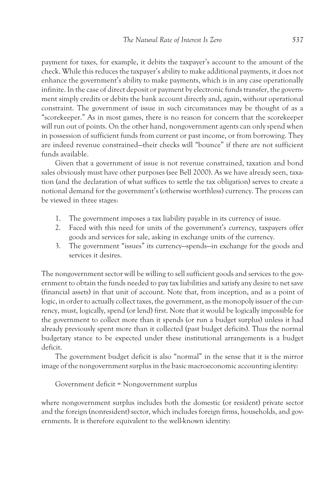payment for taxes, for example, it debits the taxpayer's account to the amount of the check. While this reduces the taxpayer's ability to make additional payments, it does not enhance the government's ability to make payments, which is in any case operationally infinite. In the case of direct deposit or payment by electronic funds transfer, the government simply credits or debits the bank account directly and, again, without operational constraint. The government of issue in such circumstances may be thought of as a "scorekeeper." As in most games, there is no reason for concern that the scorekeeper will run out of points. On the other hand, nongovernment agents can only spend when in possession of sufficient funds from current or past income, or from borrowing. They are indeed revenue constrained—their checks will "bounce" if there are not sufficient funds available.

Given that a government of issue is not revenue constrained, taxation and bond sales obviously must have other purposes (see Bell 2000). As we have already seen, taxation (and the declaration of what suffices to settle the tax obligation) serves to create a notional demand for the government's (otherwise worthless) currency. The process can be viewed in three stages:

- 1. The government imposes a tax liability payable in its currency of issue.
- 2. Faced with this need for units of the government's currency, taxpayers offer goods and services for sale, asking in exchange units of the currency.
- 3. The government "issues" its currency—spends—in exchange for the goods and services it desires.

The nongovernment sector will be willing to sell sufficient goods and services to the government to obtain the funds needed to pay tax liabilities and satisfy any desire to net save (financial assets) in that unit of account. Note that, from inception, and as a point of logic, in order to actually collect taxes, the government, as the monopoly issuer of the currency, must, logically, spend (or lend) first. Note that it would be logically impossible for the government to collect more than it spends (or run a budget surplus) unless it had already previously spent more than it collected (past budget deficits). Thus the normal budgetary stance to be expected under these institutional arrangements is a budget deficit.

The government budget deficit is also "normal" in the sense that it is the mirror image of the nongovernment surplus in the basic macroeconomic accounting identity:

Government deficit = Nongovernment surplus

where nongovernment surplus includes both the domestic (or resident) private sector and the foreign (nonresident) sector, which includes foreign firms, households, and governments. It is therefore equivalent to the well-known identity: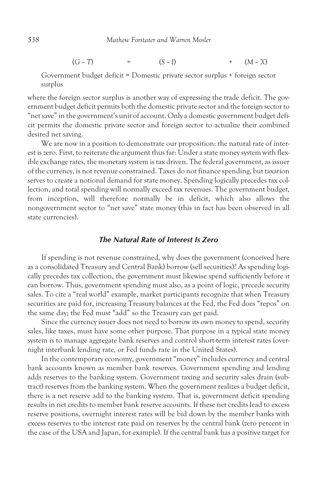$(G-T)$  =  $(S-I)$  +  $(M - X)$ 

Government budget deficit = Domestic private sector surplus + foreign sector surplus

where the foreign sector surplus is another way of expressing the trade deficit. The government budget deficit permits both the domestic private sector and the foreign sector to "net save" in the government's unit of account. Only a domestic government budget deficit permits the domestic private sector and foreign sector to actualize their combined desired net saving.

We are now in a position to demonstrate our proposition: the natural rate of interest is zero. First, to reiterate the argument thus far: Under a state money system with flexible exchange rates, the monetary system is tax driven. The federal government, as issuer of the currency, is not revenue constrained. Taxes do not finance spending, but taxation serves to create a notional demand for state money. Spending logically precedes tax collection, and total spending will normally exceed tax revenues. The government budget, from inception, will therefore normally be in deficit, which also allows the nongovernment sector to "net save" state money (this in fact has been observed in all state currencies).

### *The Natural Rate of Interest Is Zero*

If spending is not revenue constrained, why does the government (conceived here as a consolidated Treasury and Central Bank) borrow (sell securities)? As spending logically precedes tax collection, the government must likewise spend sufficiently before it can borrow. Thus, government spending must also, as a point of logic, precede security sales. To cite a "real world" example, market participants recognize that when Treasury securities are paid for, increasing Treasury balances at the Fed, the Fed does "repos" on the same day; the Fed must "add" so the Treasury can get paid.

Since the currency issuer does not need to borrow its own money to spend, security sales, like taxes, must have some other purpose. That purpose in a typical state money system is to manage aggregate bank reserves and control short-term interest rates (overnight interbank lending rate, or Fed funds rate in the United States).

In the contemporary economy, government "money" includes currency and central bank accounts known as member bank reserves. Government spending and lending adds reserves to the banking system. Government taxing and security sales drain (subtract) reserves from the banking system. When the government realizes a budget deficit, there is a net reserve add to the banking system. That is, government deficit spending results in net credits to member bank reserve accounts. If these net credits lead to excess reserve positions, overnight interest rates will be bid down by the member banks with excess reserves to the interest rate paid on reserves by the central bank (zero percent in the case of the USA and Japan, for example). If the central bank has a positive target for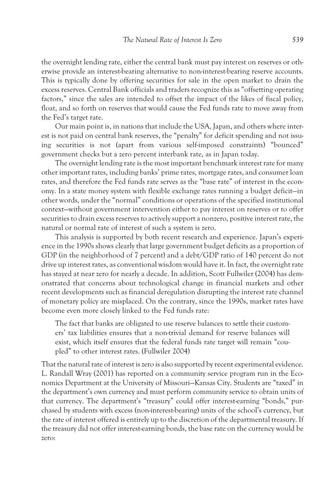the overnight lending rate, either the central bank must pay interest on reserves or otherwise provide an interest-bearing alternative to non-interest-bearing reserve accounts. This is typically done by offering securities for sale in the open market to drain the excess reserves. Central Bank officials and traders recognize this as "offsetting operating factors," since the sales are intended to offset the impact of the likes of fiscal policy, float, and so forth on reserves that would cause the Fed funds rate to move away from the Fed's target rate.

Our main point is, in nations that include the USA, Japan, and others where interest is not paid on central bank reserves, the "penalty" for deficit spending and not issuing securities is not (apart from various self-imposed constraints) "bounced" government checks but a zero percent interbank rate, as in Japan today.

The overnight lending rate is the most important benchmark interest rate for many other important rates, including banks' prime rates, mortgage rates, and consumer loan rates, and therefore the Fed funds rate serves as the "base rate" of interest in the economy. In a state money system with flexible exchange rates running a budget deficit—in other words, under the "normal" conditions or operations of the specified institutional context—without government intervention either to pay interest on reserves or to offer securities to drain excess reserves to actively support a nonzero, positive interest rate, the natural or normal rate of interest of such a system is zero.

This analysis is supported by both recent research and experience. Japan's experience in the 1990s shows clearly that large government budget deficits as a proportion of GDP (in the neighborhood of 7 percent) and a debt/GDP ratio of 140 percent do not drive up interest rates, as conventional wisdom would have it. In fact, the overnight rate has stayed at near zero for nearly a decade. In addition, Scott Fullwiler (2004) has demonstrated that concerns about technological change in financial markets and other recent developments such as financial deregulation disrupting the interest rate channel of monetary policy are misplaced. On the contrary, since the 1990s, market rates have become even more closely linked to the Fed funds rate:

The fact that banks are obligated to use reserve balances to settle their customers' tax liabilities ensures that a non-trivial demand for reserve balances will exist, which itself ensures that the federal funds rate target will remain "coupled" to other interest rates. (Fullwiler 2004)

That the natural rate of interest is zero is also supported by recent experimental evidence. L. Randall Wray (2001) has reported on a community service program run in the Economics Department at the University of Missouri—Kansas City. Students are "taxed" in the department's own currency and must perform community service to obtain units of that currency. The department's "treasury" could offer interest-earning "bonds," purchased by students with excess (non-interest-bearing) units of the school's currency, but the rate of interest offered is entirely up to the discretion of the departmental treasury. If the treasury did not offer interest-earning bonds, the base rate on the currency would be zero: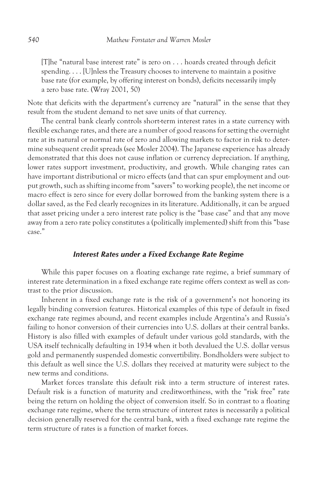[T]he "natural base interest rate" is zero on . . . hoards created through deficit spending. . . . [U]nless the Treasury chooses to intervene to maintain a positive base rate (for example, by offering interest on bonds), deficits necessarily imply a zero base rate. (Wray 2001, 50)

Note that deficits with the department's currency are "natural" in the sense that they result from the student demand to net save units of that currency.

The central bank clearly controls short-term interest rates in a state currency with flexible exchange rates, and there are a number of good reasons for setting the overnight rate at its natural or normal rate of zero and allowing markets to factor in risk to determine subsequent credit spreads (see Mosler 2004). The Japanese experience has already demonstrated that this does not cause inflation or currency depreciation. If anything, lower rates support investment, productivity, and growth. While changing rates can have important distributional or micro effects (and that can spur employment and output growth, such as shifting income from "savers" to working people), the net income or macro effect is zero since for every dollar borrowed from the banking system there is a dollar saved, as the Fed clearly recognizes in its literature. Additionally, it can be argued that asset pricing under a zero interest rate policy is the "base case" and that any move away from a zero rate policy constitutes a (politically implemented) shift from this "base case."

#### *Interest Rates under a Fixed Exchange Rate Regime*

While this paper focuses on a floating exchange rate regime, a brief summary of interest rate determination in a fixed exchange rate regime offers context as well as contrast to the prior discussion.

Inherent in a fixed exchange rate is the risk of a government's not honoring its legally binding conversion features. Historical examples of this type of default in fixed exchange rate regimes abound, and recent examples include Argentina's and Russia's failing to honor conversion of their currencies into U.S. dollars at their central banks. History is also filled with examples of default under various gold standards, with the USA itself technically defaulting in 1934 when it both devalued the U.S. dollar versus gold and permanently suspended domestic convertibility. Bondholders were subject to this default as well since the U.S. dollars they received at maturity were subject to the new terms and conditions.

Market forces translate this default risk into a term structure of interest rates. Default risk is a function of maturity and creditworthiness, with the "risk free" rate being the return on holding the object of conversion itself. So in contrast to a floating exchange rate regime, where the term structure of interest rates is necessarily a political decision generally reserved for the central bank, with a fixed exchange rate regime the term structure of rates is a function of market forces.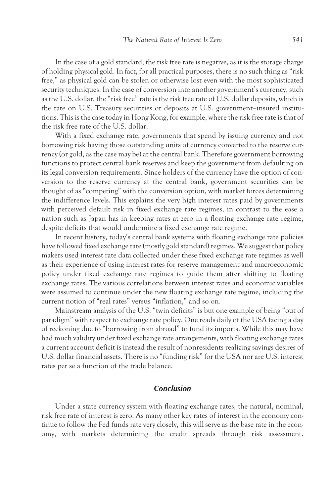In the case of a gold standard, the risk free rate is negative, as it is the storage charge of holding physical gold. In fact, for all practical purposes, there is no such thing as "risk free," as physical gold can be stolen or otherwise lost even with the most sophisticated security techniques. In the case of conversion into another government's currency, such as the U.S. dollar, the "risk free" rate is the risk free rate of U.S. dollar deposits, which is the rate on U.S. Treasury securities or deposits at U.S. government–insured institutions. This is the case today in Hong Kong, for example, where the risk free rate is that of the risk free rate of the U.S. dollar.

With a fixed exchange rate, governments that spend by issuing currency and not borrowing risk having those outstanding units of currency converted to the reserve currency (or gold, as the case may be) at the central bank. Therefore government borrowing functions to protect central bank reserves and keep the government from defaulting on its legal conversion requirements. Since holders of the currency have the option of conversion to the reserve currency at the central bank, government securities can be thought of as "competing" with the conversion option, with market forces determining the indifference levels. This explains the very high interest rates paid by governments with perceived default risk in fixed exchange rate regimes, in contrast to the ease a nation such as Japan has in keeping rates at zero in a floating exchange rate regime, despite deficits that would undermine a fixed exchange rate regime.

In recent history, today's central bank systems with floating exchange rate policies have followed fixed exchange rate (mostly gold standard) regimes. We suggest that policy makers used interest rate data collected under these fixed exchange rate regimes as well as their experience of using interest rates for reserve management and macroeconomic policy under fixed exchange rate regimes to guide them after shifting to floating exchange rates. The various correlations between interest rates and economic variables were assumed to continue under the new floating exchange rate regime, including the current notion of "real rates" versus "inflation," and so on.

Mainstream analysis of the U.S. "twin deficits" is but one example of being "out of paradigm" with respect to exchange rate policy. One reads daily of the USA facing a day of reckoning due to "borrowing from abroad" to fund its imports. While this may have had much validity under fixed exchange rate arrangements, with floating exchange rates a current account deficit is instead the result of nonresidents realizing savings desires of U.S. dollar financial assets. There is no "funding risk" for the USA nor are U.S. interest rates per se a function of the trade balance.

## *Conclusion*

Under a state currency system with floating exchange rates, the natural, nominal, risk free rate of interest is zero. As many other key rates of interest in the economy continue to follow the Fed funds rate very closely, this will serve as the base rate in the economy, with markets determining the credit spreads through risk assessment.